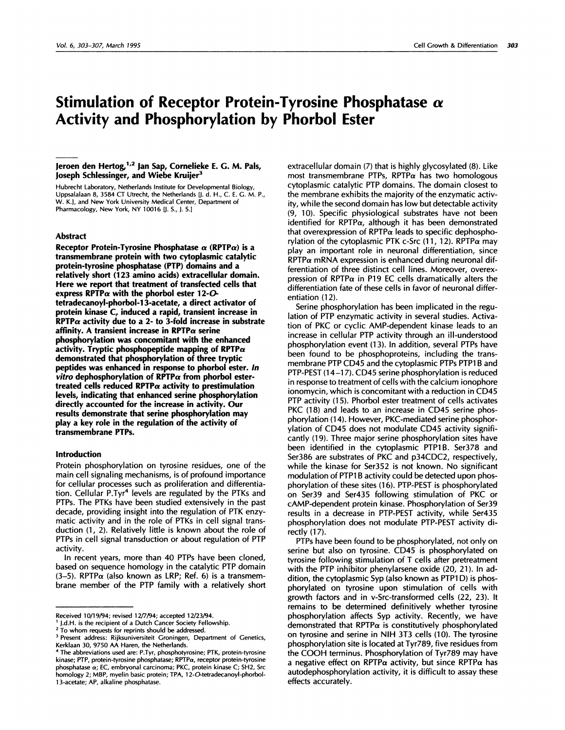# **Stimulation of Receptor Protein-Tyrosine Phosphatase a Activity and Phosphorylation by Phorbol Ester**

## **Jeroen den** Hertog,"2 Jan Sap, Cornelieke E. G. M. Pals, **Joseph Schlessinger, and Wiebe Kruijer3**

Hubrecht Laboratory, Netherlands Institute for Developmental Biology, Uppsalalaan 8, 3584 CT Utrecht, the Netherlands U. d. H., C. E. G. M. P., W. **K.J,** and New York University Medical Center, Department of Pharmacology, New York, NY 10016 [J. S., J. S.]

#### **Abstract**

**Receptor Protein-Tyrosine Phosphatase a (RPTPa) is a transmembrane protein with** two **cytoplasmic catalytic** protein-tyrosine phosphatase (PTP) domains and a **relatively short (1 23 amino acids) extracellular domain. Here we** report **that treatment of transfeded cells that** express **RPTPa with the phorbol ester** 12-0 **tetradecanoyl-phorbol-1 3-acetate, a dired adivator of protein kinase C, induced a rapid, transient increase in**  $RPTP\alpha$  activity due to a 2- to 3-fold increase in substrate affinity. A **transient increase in RPTPa serine phosphorylation** was **concomitant with the enhanced** activity. Tryptic phosphopeptide mapping of RPTP $\alpha$ **demonstrated that phosphorylation of three tryptic peptides was enhanced in response to phorbol ester. In vitro dephosphorylation of RPTPa from phorbol ester**treated cells reduced  $\text{RPTP}\alpha$  activity to prestimulation **levels, indicating that enhanced serine phosphorylation** directly accounted for the increase in activity. Our results **demonstrate that serine phosphorylation may play** a key role in the regulation of the activity of **transmembrane PTPs.**

#### **Introduction**

Protein phosphorylation on tyrosine residues, one of the main cell signaling mechanisms, is of profound importance for cellular processes such as proliferation and differentiation. Cellular P.Tyr<sup>4</sup> levels are regulated by the PTKs and PTPs. The PTKs have been studied extensively in the past decade, providing insight into the regulation of PTK enzymatic activity and in the role of PTKs in cell signal transduction (1, 2). Relatively little is known about the role of PTPs in cell signal transduction or about regulation of PTP activity.

In recent years, more than 40 PTPs have been cloned, based on sequence homology in the catalytic PTP domain (3-5). RPTP $\alpha$  (also known as LRP; Ref. 6) is a transmembrane member of the PTP family with a relatively short

extracellular domain  $(7)$  that is highly glycosylated  $(8)$ . Like most transmembrane PTPs, RPTP $\alpha$  has two homologous cytoplasmic catalytic PTP domains. The domain closest to the membrane exhibits the majority of the enzymatic activity, while the second domain has low but detectable activity (9, 10). Specific physiological substrates have not been identified for RPTP $\alpha$ , although it has been demonstrated that overexpression of RPTP $\alpha$  leads to specific dephosphorvlation of the cytoplasmic PTK c-Src (11, 12). RPTPα may play an important role in neuronal differentiation, since  $RPTP\alpha$  mRNA expression is enhanced during neuronal differentiation of three distinct cell lines. Moreover, overexpression of RPTP $\alpha$  in P19 EC cells dramatically alters the differentiation fate of these cells in favor of neuronal differentiation (12).

Serine phosphorylation has been implicated in the regulation of PTP enzymatic activity in several studies. Activation of PKC or cyclic AMP-dependent kinase leads to an increase in cellular PTP activity through an ill-understood phosphorylation event (13). In addition, several PTPs have been found to be phosphoproteins, including the transmembrane PTP CD45 and the cytoplasmic PTPs PTP1 B and PTP-PEST (14-17). CD45 serine phosphorylation is reduced in response to treatment of cells with the calcium ionophore ionomycin, which is concomitant with a reduction in CD45 PTP activity (15). Phorbol ester treatment of cells activates PKC (18) and leads to an increase in CD45 serine phosphorylation (1 4). However, PKC-mediated serine phosphorylation of CD45 does not modulate CD45 activity significantly (19). Three major serine phosphorylation sites have been identified in the cytoplasmic PTP1B. Ser378 and Ser386 are substrates of PKC and p34CDC2, respectively, while the kinase for Ser352 is not known. No significant modulation of PTP1 B activity could be detected upon phosphorylation of these sites (16). PTP-PEST is phosphorylated on Ser39 and Ser435 following stimulation of PKC or cAMP-dependent protein kinase. Phosphorylation of Ser39 results in a decrease in PTP-PEST activity, while Ser435 phosphorylation does not modulate PTP-PEST activity directly (17).

PTPs have been found to be phosphorylated, not only on serine but also on tyrosine. CD45 is phosphorylated on tyrosine following stimulation of T cells after pretreatment with the PTP inhibitor phenylarsene oxide (20, 21). In addition, the cytoplasmic Syp (also known as PTP1 D) is phosphorylated on tyrosine upon stimulation of cells with growth factors and in v-Src-transformed cells (22, 23). It remains to be determined definitively whether tyrosine phosphorylation affects Syp activity. Recently, we have demonstrated that RPTP $\alpha$  is constitutively phosphorylated on tyrosine and serine in NIH 3T3 cells (10). The tyrosine phosphorylation site is located at Tyr789, five residues from the COOH terminus. Phosphorylation of Tyr789 may have a negative effect on RPTP $\alpha$  activity, but since RPTP $\alpha$  has autodephosphorylation activity, it is difficult to assay these effects accurately.

Received 10/19/94; revised 12/7/94; accepted 12/23/94.

<sup>1</sup> J.d.H. is the recipient of a Dutch Cancer Society Fellowship.

**<sup>2</sup>** To whom requests for reprints should be addressed.

**<sup>3</sup>** Present address: Rijksuniversiteit Groningen, Department of Genetics, Kerklaan 30, 9750 AA Haren, the Netherlands.

**<sup>4</sup>** The abbreviations used are: P.Tyr, phosphotyrosine; PTK, protein-tyrosine kinase; PTP, protein-tyrosine phosphatase; RPTPa, receptor protein-tyrosine phosphatase a; EC, embryonal carcinoma; PKC, protein kinase C; SH2, Src homology 2; MBP, myelin basic protein; TPA, 1 2-O-tetradecanoyl-phorbol- 1 3-acetate; AP, alkaline phosphatase.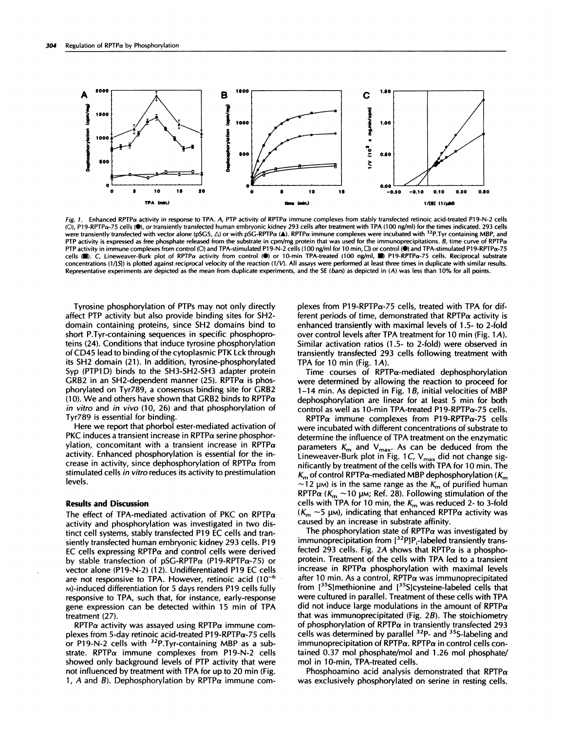

Fig. 1. Enhanced RPTPa activity in response to TPA. A, PTP activity of RPTPa immune complexes from stably transfected retinoic acid-treated P19-N-2 cells (O), P19-RPTPa-75 cells (.), or transiently transfected human embryonic kidney 293 cells after treatment with TPA (100 ng/ml) for the times indicated. 293 cells were transiently transfected with vector alone (pSG5,  $\Delta$ ) or with pSG-RPTPa (A). RPTPa immune complexes were incubated with <sup>32</sup>P. Tyr containing MBP, and PTP activity is expressed as free phosphate released from the substrate in cpm/mg protein that was used for the immunoprecipitations. B, time curve of RPTP $\alpha$ PTP activity in immune complexes from control (O) and TPA-stimulated P19-N-2 cells (100 ng/ml for 10 min,  $\square$ ) or control (O) and TPA-stimulated P19-RPTPa-75 cells (D). C, Lineweaver-Burk plot of RPTPa activity from control (O) or 10-min TPA-treated (100 ng/ml, ) P19-RPTPa-75 cells. Reciprocal substrate concentrations (1/[S]) is plotted against reciprocal velocity of the reaction (1/V). All assays were performed at least three times in duplicate with similar results. Representative experiments are depicted as the mean from duplicate experiments, and the SE (bars) as depicted in (A) was less than 10% for all points.

Tyrosine phosphorylation of PTPs may not only directly affect PTP activity but also provide binding sites for SH2 domain containing proteins, since SH2 domains bind to short P.Tyr-containing sequences in specific phosphoproteins (24). Conditions that induce tyrosine phosphorylation of CD45 lead to binding of the cytoplasmic PTK Lck through its SH2 domain (21). In addition, tyrosine-phosphorylated Syp (PTP1D) binds to the SH3-SH2-SH3 adapter protein GRB2 in an SH2-dependent manner (25). RPTP $\alpha$  is phosphorylated on Tyr789, a consensus binding site for GRB2 (10). We and others have shown that GRB2 binds to RPTP $\alpha$ in vitro and in vivo (10, 26) and that phosphorylation of Tyr789 is essential for binding.

Here we report that phorbol ester-mediated activation of PKC induces a transient increase in RPTP $\alpha$  serine phosphorylation, concomitant with a transient increase in RPTP $\alpha$ activity. Enhanced phosphorylation is essential for the in crease in activity, since dephosphorylation of RPTP $\alpha$  from stimulated cells in vitro reduces its activity to prestimulation levels.

### Results **and Discussion**

The effect of TPA-mediated activation of PKC on RPTP $\alpha$ activity and phosphorylation was investigated in two distinct cell systems, stably transfected P19 EC cells and transiently transfected human embryonic kidney 293 cells. P19 EC cells expressing RPTP $\alpha$  and control cells were derived by stable transfection of  $pSG-RPTP\alpha$  (P19-RPTP $\alpha$ -75) or vector alone (P19-N-2) (12). Undifferentiated P19 EC cells are not responsive to TPA. However, retinoic acid  $(10^{-6}$ M)-induced differentiation for 5 days renders P19 cells fully responsive to TPA, such that, for instance, early-response gene expression can be detected within 15 min of TPA treatment (27).

RPTP $\alpha$  activity was assayed using RPTP $\alpha$  immune complexes from 5-day retinoic acid-treated P19-RPTP $\alpha$ -75 cells or P19-N-2 cells with  $32P$ .Tyr-containing MBP as a substrate. RPTP $\alpha$  immune complexes from P19-N-2 cells showed only background levels of PTP activity that were not influenced by treatment with TPA for up to 20 min (Fig. 1, A and B). Dephosphorylation by RPTP $\alpha$  immune complexes from P19-RPTP $\alpha$ -75 cells, treated with TPA for different periods of time, demonstrated that  $RPTP\alpha$  activity is enhanced transiently with maximal levels of 1.5- to 2-fold over control levels after TPA treatment for 10 min (Fig. 1A). Similar activation ratios (1.5- to 2-fold) were observed in transiently transfected 293 cells following treatment with TPA for 10 min (Fig.  $1A$ ).

Time courses of RPTP $\alpha$ -mediated dephosphorylation were determined by allowing the reaction to proceed for  $1-14$  min. As depicted in Fig. 1B, initial velocities of MBP dephosphorylation are linear for at least 5 min for both control as well as 10-min TPA-treated P19-RPTP $\alpha$ -75 cells.

 $RPTP\alpha$  immune complexes from P19-RPTP $\alpha$ -75 cells were incubated with different concentrations of substrate to determine the influence of TPA treatment on the enzymatic parameters  $K_m$  and  $V_{max}$ . As can be deduced from the Lineweaver-Burk plot in Fig. 1C,  $V_{\text{max}}$  did not change significantly by treatment of the cells with TPA for 10 min. The  $K<sub>m</sub>$  of control RPTP $\alpha$ -mediated MBP dephosphorylation ( $K<sub>m</sub>$ )  $\sim$ 12  $\mu$ <sub>M</sub>) is in the same range as the  $K_m$  of purified human RPTP $\alpha$  (K<sub>m</sub> ~10 µm; Ref. 28). Following stimulation of the cells with TPA for 10 min, the  $K<sub>m</sub>$  was reduced 2- to 3-fold  $(K_m \sim 5 \mu)$ , indicating that enhanced RPTP $\alpha$  activity was caused by an increase in substrate affinity.

The phosphorylation state of RPTP $\alpha$  was investigated by immunoprecipitation from  $[3^2P]P_i$ -labeled transiently transfected 293 cells. Fig. 2A shows that RPTP $\alpha$  is a phosphoprotein. Treatment of the cells with TPA led to a transient increase in RPTP $\alpha$  phosphorylation with maximal levels after 10 min. As a control, RPTP $\alpha$  was immunoprecipitated from  $[35S]$  methionine and  $[35S]$  cysteine-labeled cells that were cultured in parallel. Treatment of these cells with TPA did not induce large modulations in the amount of RPTP $\alpha$ that was immunoprecipitated (Fig. 2B). The stoichiometry of phosphorylation of RPTP $\alpha$  in transiently transfected 293 cells was determined by parallel <sup>32</sup>P- and <sup>35</sup>S-labeling and immunoprecipitation of RPTP $\alpha$ . RPTP $\alpha$  in control cells contained 0.37 mol phosphate/mol and 1.26 mol phosphate/ mol in 10-min, TPA-treated cells.

Phosphoamino acid analysis demonstrated that RPTP $\alpha$ was exclusively phosphorylated on serine in resting cells.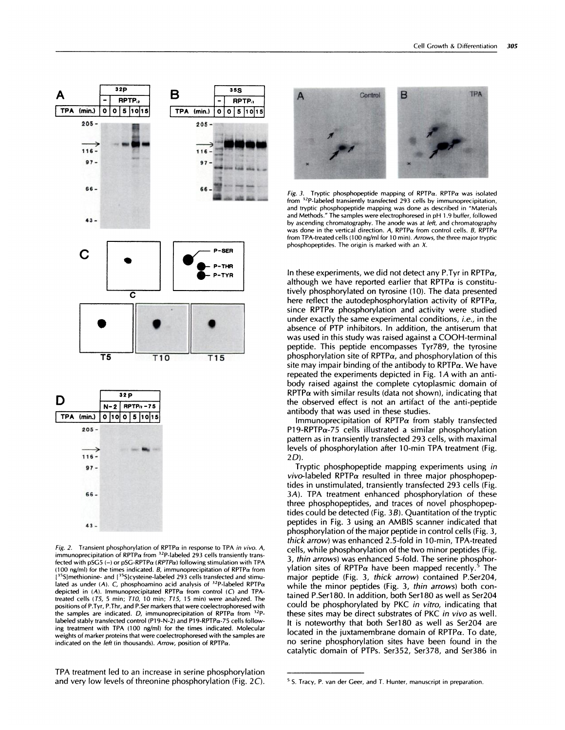



Fig. 2. Transient phosphorylation of RPTP $\alpha$  in response to TPA in vivo. A, immunoprecipitation of RPTP $\alpha$  from <sup>32</sup>P-labeled 293 cells transiently transfected with pSG5 (-) or pSG-RPTP $\alpha$  (RPTP $\alpha$ ) following stimulation with TPA (100 ng/ml) for the times indicated. B, immunoprecipitation of RPTP $\alpha$  from  $^{15}$ S]methionine- and  $[$ <sup>35</sup>S]cysteine-labeled 293 cells transfected and stimulated as under (A). C, phosphoamino acid analysis of  $32P$ -labeled RPTP $\alpha$ depicted in  $(A)$ . Immunoprecipitated RPTP $\alpha$  from control  $(C)$  and TPAtreated cells (T5, 5 min; T10, 10 min; T15, 15 min) were analyzed. The positions of P.Tyr, P.Thr, and P.Ser markers that were coelectrophoresed with the samples are indicated. D, immunoprecipitation of RPTP $\alpha$  from  $^{32}$ Plabeled stably transfected control (Pi9-N-2) and Pi9-RPTPa-75 cells following treatment with TPA (100 ng/ml) for the times indicated. Molecular weights of marker proteins that were coelectrophoresed with the samples are indicated on the *left* (in thousands). Arrow, position of RPTP $\alpha$ .

TPA treatment led to an increase in serine phosphorylation and very low bevels of threonine phosphorylation (Fig. **2C).**



Fig. 3. Tryptic phosphopeptide mapping of RPTP $\alpha$ . RPTP $\alpha$  was isolated from <sup>32</sup>P-labeled transiently transfected 293 cells by immunoprecipitation, and tryptic phosphopeptide mapping was done as described in "Materials and Methods." The samples were electrophoresed in pH 1.9 buffer, followed by ascending chromatography. The anode was at left, and chromatography was done in the vertical direction. A, RPTP $\alpha$  from control cells. B, RPTP $\alpha$ from TPA-treated cells (100 ng/ml for 10 min). Arrows, the three major tryptic phosphopeptides. The origin is marked with an X.

In these experiments, we did not detect any P.Tyr in RPTP $\alpha$ , although we have reported earlier that RPTP $\alpha$  is constitutively phosphorylated on tyrosine (10). The data presented here reflect the autodephosphorylation activity of RPTP $\alpha$ , since RPTP $\alpha$  phosphorylation and activity were studied under exactly the same experimental conditions, i.e., in the absence of PTP inhibitors. In addition, the antiserum that was used in this study was raised against a COOH-terminal peptide. This peptide encompasses Tyr789, the tyrosine phosphorylation site of RPTP $\alpha$ , and phosphorylation of this site may impair binding of the antibody to  $RPTP\alpha$ . We have repeated the experiments depicted in Fig.  $1A$  with an antibody raised against the complete cytoplasmic domain of  $RPTP\alpha$  with similar results (data not shown), indicating that the observed effect is not an artifact of the anti-peptide antibody that was used in these studies.

Immunoprecipitation of RPTP $\alpha$  from stably transfected P19-RPTP $\alpha$ -75 cells illustrated a similar phosphorylation pattern as in transiently transfected 293 cells, with maximal levels of phosphorylation after 10-min TPA treatment (Fig. 2D).

Tryptic phosphopeptide mapping experiments using in  $vivo$ -labeled RPTP $\alpha$  resulted in three major phosphopeptides in unstimulated, transiently transfected 293 cells (Fig. 3A). TPA treatment enhanced phosphorylation of these three phosphopeptides, and traces of novel phosphopeptides could be detected (Fig.  $3B$ ). Quantitation of the tryptic peptides in Fig. 3 using an AMBIS scanner indicated that phosphorylation of the major peptide in control cells (Fig. 3, thick arrow) was enhanced 2.5-fold in 10-min, TPA-treated cells, while phosphorylation of the two minor peptides (Fig. 3, thin arrows) was enhanced 5-fold. The serine phosphorylation sites of RPTP $\alpha$  have been mapped recently.<sup>5</sup> The major peptide (Fig. 3, thick arrow) contained P.Ser204, while the minor peptides (Fig. 3, thin arrows) both contained P.Ser180. In addition, both Ser180 as well as Ser204 could be phosphorylated by PKC in vitro, indicating that these sites may be direct substrates of PKC in vivo as well. It is noteworthy that both Ser180 as well as Ser204 are located in the juxtamembrane domain of  $RPTP\alpha$ . To date, no serine phosphorylation sites have been found in the catalytic domain of PTPs. Ser352, Ser378, and Ser386 in

**<sup>5</sup> 5.** Tracy, P. van der Geer, and T. Hunter, manuscript in preparation.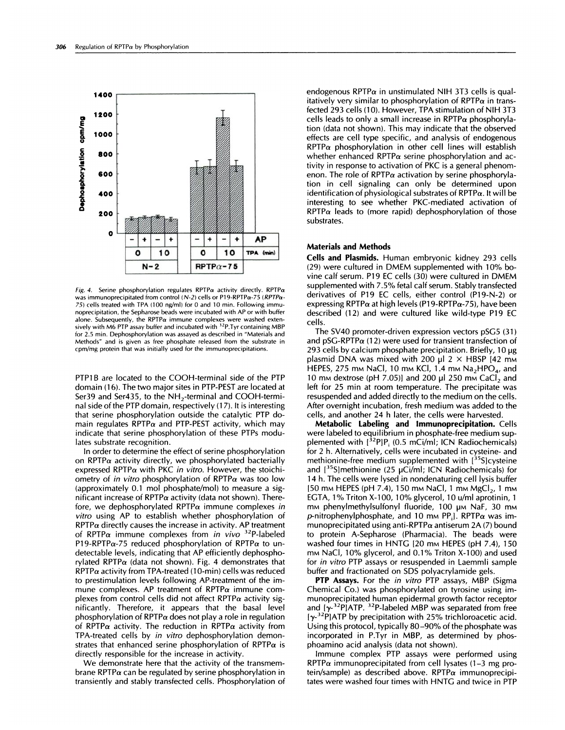

Fig. 4. Serine phosphorylation regulates RPTP $\alpha$  activity directly. RPTP $\alpha$ was immunoprecipitated from control (N-2) cells or P19-RPTPa-75 (RPTPa-75) cells treated with TPA (100 ng/ml) for 0 and 10 min. Following immunoprecipitation, the Sepharose beads were incubated with AP or with buffer alone. Subsequently, the RPTP $\alpha$  immune complexes were washed extensively with M6 PTP assay buffer and incubated with 32P.Tyr containing MBP for 2.5 min. Dephosphorylation was assayed as described in "Materials and Methods" and is given as free phosphate released from the substrate in cpm/mg protein that was initially used for the immunoprecipitations.

PTP1B are located to the COOH-terminal side of the PTP domain (16). The two major sites in PTP-PEST are located at Ser39 and Ser435, to the  $NH<sub>2</sub>$ -terminal and COOH-terminal side of the PTP domain, respectively (17). It is interesting that serine phosphorylation outside the catalytic PTP domain regulates RPTP $\alpha$  and PTP-PEST activity, which may indicate that serine phosphorylation of these PTPs modulates substrate recognition.

In order to determine the effect of serine phosphorylation on RPTP $\alpha$  activity directly, we phosphorylated bacterially expressed RPTP $\alpha$  with PKC in vitro. However, the stoichiometry of in vitro phosphorylation of RPTP $\alpha$  was too low (approximately  $0.1$  mol phosphate/mol) to measure a significant increase of RPTP $\alpha$  activity (data not shown). Therefore, we dephosphorylated RPTP $\alpha$  immune complexes in vitro using AP to establish whether phosphorylation of  $RPTP\alpha$  directly causes the increase in activity. AP treatment of RPTP $\alpha$  immune complexes from in vivo <sup>32</sup>P-labeled P19-RPTP $\alpha$ -75 reduced phosphorylation of RPTP $\alpha$  to undetectable levels, indicating that AP efficiently dephosphorylated RPTP $\alpha$  (data not shown). Fig. 4 demonstrates that  $RPTP\alpha$  activity from TPA-treated (10-min) cells was reduced to prestimulation levels following AP-treatment of the im mune complexes. AP treatment of  $RPTP\alpha$  immune complexes from control cells did not affect RPTP $\alpha$  activity significantly. Therefore, it appears that the basal level phosphorylation of RPTP $\alpha$  does not play a role in regulation of RPTP $\alpha$  activity. The reduction in RPTP $\alpha$  activity from TPA-treated cells by in vitro dephosphorylation demonstrates that enhanced serine phosphorylation of RPTP $\alpha$  is directly responsible for the increase in activity.

We demonstrate here that the activity of the transmembrane RPTP $\alpha$  can be regulated by serine phosphorylation in transiently and stably transfected cells. Phosphorylation of endogenous RPTP $\alpha$  in unstimulated NIH 3T3 cells is qualitatively very similar to phosphorylation of RPTP $\alpha$  in transfected 293 cells (10). However, TPA stimulation of NIH 3T3 cells leads to only a small increase in RPTP $\alpha$  phosphorylation (data not shown). This may indicate that the observed effects are cell type specific, and analysis of endogenous  $RPTP\alpha$  phosphorylation in other cell lines will establish whether enhanced RPTP $\alpha$  serine phosphorylation and activity in response to activation of PKC is a general phenom enon. The role of RPTP $\alpha$  activation by serine phosphorylation in cell signaling can only be determined upon identification of physiological substrates of RPTP $\alpha$ . It will be interesting to see whether PKC-mediated activation of  $RPTP\alpha$  leads to (more rapid) dephosphorylation of those substrates.

## **Materials and Methods**

Cells and Plasmids. Human embryonic kidney 293 cells (29) were cultured in DMEM supplemented with 10% bovine calf serum. P19 EC cells (30) were cultured in DMEM supplemented with 7.5% fetal calf serum. Stably transfected derivatives of P19 EC cells, either control (P19-N-2) or expressing RPTP $\alpha$  at high levels (P19-RPTP $\alpha$ -75), have been described (12) and were cultured like wild-type P19 FC cells.

The SV40 promoter-driven expression vectors pSG5 (31) and pSG-RPTP $\alpha$  (12) were used for transient transfection of 293 cells by calcium phosphate precipitation. Briefly,  $10 \mu$ g plasmid DNA was mixed with 200 µl  $2 \times$  HBSP [42 mm HEPES, 275 mm NaCl, 10 mm KCl, 1.4 mm Na<sub>2</sub>HPO<sub>4</sub>, and 10 mm dextrose (pH 7.05)] and 200  $\mu$ l 250 mm CaCl<sub>2</sub> and left for 25 min at room temperature. The precipitate was resuspended and added directly to the medium on the cells. After overnight incubation, fresh medium was added to the cells, and another 24 h later, the cells were harvested.

**Metabolic Labeling and Immunoprecipitation.** Cells were labeled to equilibrium in phosphate-free medium supplemented with  $[{}^{32}P]P_1$  (0.5 mCi/ml; ICN Radiochemicals) for 2 h. Alternatively, cells were incubated in cysteine- and methionine-free medium supplemented with [35S] cysteine and  $[35S]$ methionine (25 µCi/ml; ICN Radiochemicals) for 14 h. The cells were lysed in nondenaturing cell lysis buffer [50 mm HEPES (pH 7.4), 150 mm NaCl, 1 mm MgCl<sub>2</sub>, 1 mm EGTA, 1% Triton X-100, 10% glycerol, 10 u/ml aprotinin, 1 mm phenylmethylsulfonyl fluoride, 100 µm NaF, 30 mm p-nitrophenylphosphate, and 10 mm PP<sub>i</sub>J. RPTP $\alpha$  was immunoprecipitated using anti-RPTP $\alpha$  antiserum 2A (7) bound to protein A-Sepharose (Pharmacia). The beads were washed four times in HNTG [20 mm HEPES (pH 7.4), 150 mm NaCl, 10% glycerol, and 0.1% Triton X-100) and used for in vitro PTP assays or resuspended in Laemmli sample buffer and fractionated on SDS polyacrylamide gels.

**PTP Assays.** For the in vitro PTP assays, MBP (Sigma Chemical Co.) was phosphorylated on tyrosine using immunoprecipitated human epidermal growth factor receptor and  $[\gamma^{32}P]$ ATP. <sup>32</sup>P-labeled MBP was separated from free  $[\gamma^{32}P]$ ATP by precipitation with 25% trichloroacetic acid. Using this protocol, typically 80-90% of the phosphate was incorporated in P.Tyr in MBP, as determined by phosphoamino acid analysis (data not shown).

Immune complex PTP assays were performed using RPTP $\alpha$  immunoprecipitated from cell lysates (1-3 mg protein/sample) as described above. RPTP $\alpha$  immunoprecipitates were washed four times with HNTG and twice in PTP